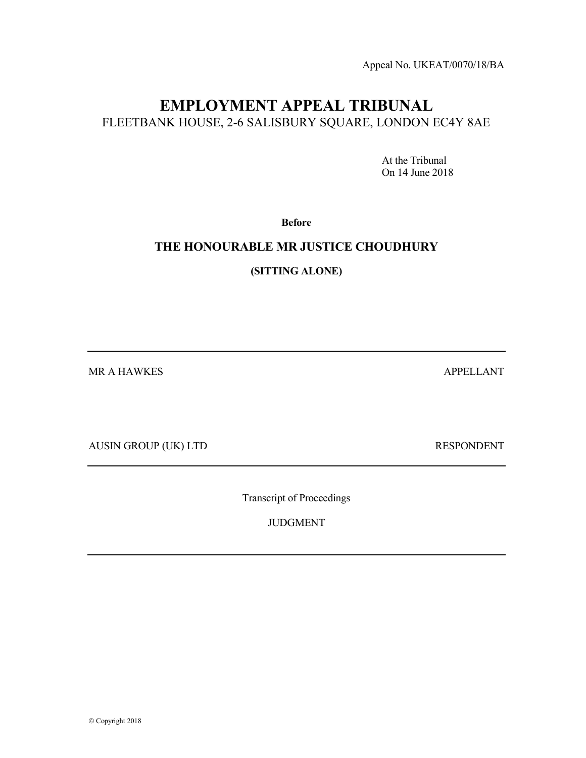Appeal No. UKEAT/0070/18/BA

# EMPLOYMENT APPEAL TRIBUNAL FLEETBANK HOUSE, 2-6 SALISBURY SQUARE, LONDON EC4Y 8AE

 At the Tribunal On 14 June 2018

Before

# THE HONOURABLE MR JUSTICE CHOUDHURY

(SITTING ALONE)

MR A HAWKES APPELLANT

AUSIN GROUP (UK) LTD RESPONDENT

Transcript of Proceedings

JUDGMENT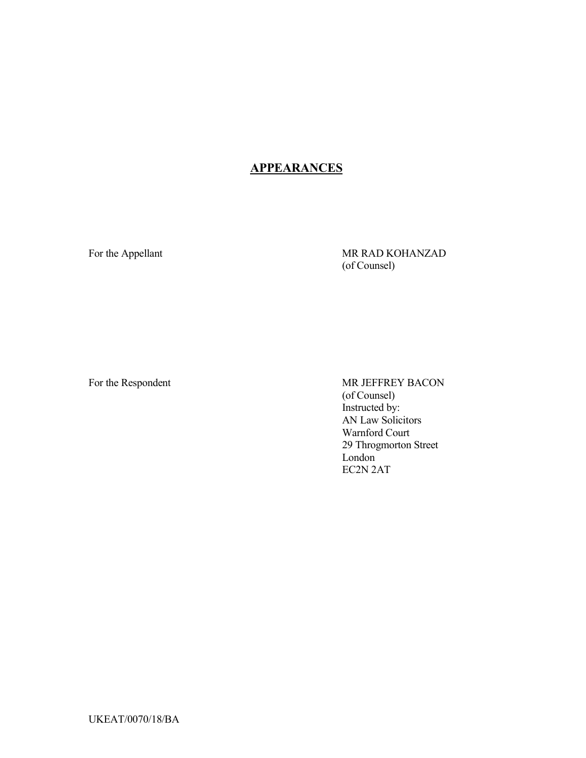# **APPEARANCES**

For the Appellant MR RAD KOHANZAD (of Counsel)

For the Respondent MR JEFFREY BACON (of Counsel) Instructed by: AN Law Solicitors Warnford Court 29 Throgmorton Street London EC2N 2AT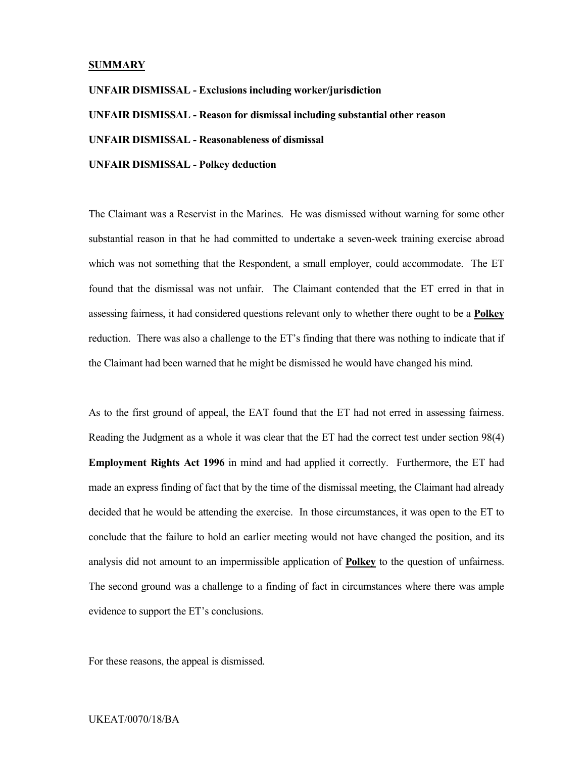### **SUMMARY**

UNFAIR DISMISSAL - Exclusions including worker/jurisdiction UNFAIR DISMISSAL - Reason for dismissal including substantial other reason UNFAIR DISMISSAL - Reasonableness of dismissal UNFAIR DISMISSAL - Polkey deduction

The Claimant was a Reservist in the Marines. He was dismissed without warning for some other substantial reason in that he had committed to undertake a seven-week training exercise abroad which was not something that the Respondent, a small employer, could accommodate. The ET found that the dismissal was not unfair. The Claimant contended that the ET erred in that in assessing fairness, it had considered questions relevant only to whether there ought to be a Polkey reduction. There was also a challenge to the ET's finding that there was nothing to indicate that if the Claimant had been warned that he might be dismissed he would have changed his mind.

As to the first ground of appeal, the EAT found that the ET had not erred in assessing fairness. Reading the Judgment as a whole it was clear that the ET had the correct test under section 98(4) Employment Rights Act 1996 in mind and had applied it correctly. Furthermore, the ET had made an express finding of fact that by the time of the dismissal meeting, the Claimant had already decided that he would be attending the exercise. In those circumstances, it was open to the ET to conclude that the failure to hold an earlier meeting would not have changed the position, and its analysis did not amount to an impermissible application of Polkey to the question of unfairness. The second ground was a challenge to a finding of fact in circumstances where there was ample evidence to support the ET's conclusions.

For these reasons, the appeal is dismissed.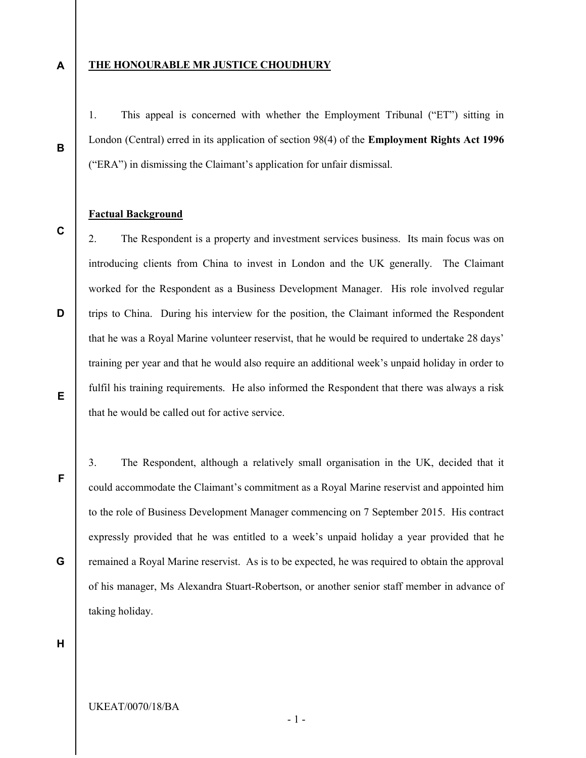A

B

C

D

### THE HONOURABLE MR JUSTICE CHOUDHURY

1. This appeal is concerned with whether the Employment Tribunal ("ET") sitting in London (Central) erred in its application of section 98(4) of the Employment Rights Act 1996 ("ERA") in dismissing the Claimant's application for unfair dismissal.

## Factual Background

2. The Respondent is a property and investment services business. Its main focus was on introducing clients from China to invest in London and the UK generally. The Claimant worked for the Respondent as a Business Development Manager. His role involved regular trips to China. During his interview for the position, the Claimant informed the Respondent that he was a Royal Marine volunteer reservist, that he would be required to undertake 28 days' training per year and that he would also require an additional week's unpaid holiday in order to fulfil his training requirements. He also informed the Respondent that there was always a risk that he would be called out for active service.

F

E

3. The Respondent, although a relatively small organisation in the UK, decided that it could accommodate the Claimant's commitment as a Royal Marine reservist and appointed him to the role of Business Development Manager commencing on 7 September 2015. His contract expressly provided that he was entitled to a week's unpaid holiday a year provided that he remained a Royal Marine reservist. As is to be expected, he was required to obtain the approval of his manager, Ms Alexandra Stuart-Robertson, or another senior staff member in advance of taking holiday.

H

G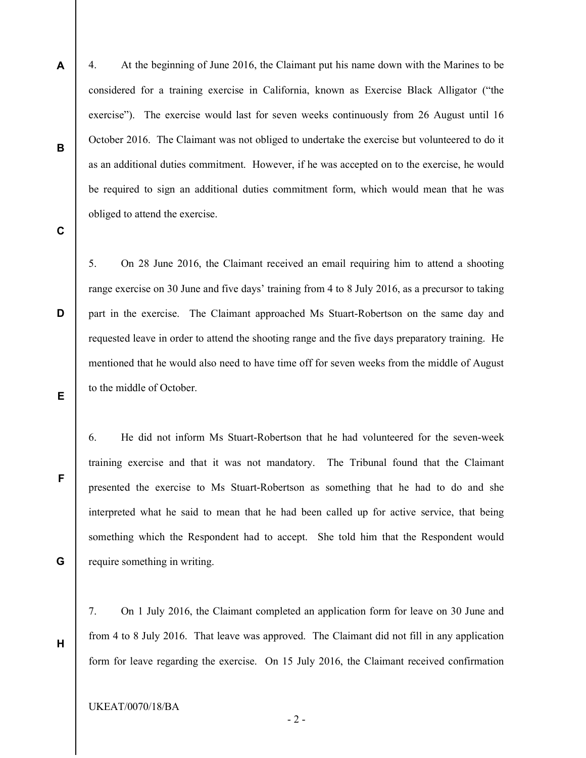4. At the beginning of June 2016, the Claimant put his name down with the Marines to be considered for a training exercise in California, known as Exercise Black Alligator ("the exercise"). The exercise would last for seven weeks continuously from 26 August until 16 October 2016. The Claimant was not obliged to undertake the exercise but volunteered to do it as an additional duties commitment. However, if he was accepted on to the exercise, he would be required to sign an additional duties commitment form, which would mean that he was obliged to attend the exercise.

C

D

E

F

A

B

5. On 28 June 2016, the Claimant received an email requiring him to attend a shooting range exercise on 30 June and five days' training from 4 to 8 July 2016, as a precursor to taking part in the exercise. The Claimant approached Ms Stuart-Robertson on the same day and requested leave in order to attend the shooting range and the five days preparatory training. He mentioned that he would also need to have time off for seven weeks from the middle of August to the middle of October.

6. He did not inform Ms Stuart-Robertson that he had volunteered for the seven-week training exercise and that it was not mandatory. The Tribunal found that the Claimant presented the exercise to Ms Stuart-Robertson as something that he had to do and she interpreted what he said to mean that he had been called up for active service, that being something which the Respondent had to accept. She told him that the Respondent would require something in writing.

G

H

7. On 1 July 2016, the Claimant completed an application form for leave on 30 June and from 4 to 8 July 2016. That leave was approved. The Claimant did not fill in any application form for leave regarding the exercise. On 15 July 2016, the Claimant received confirmation

- 2 -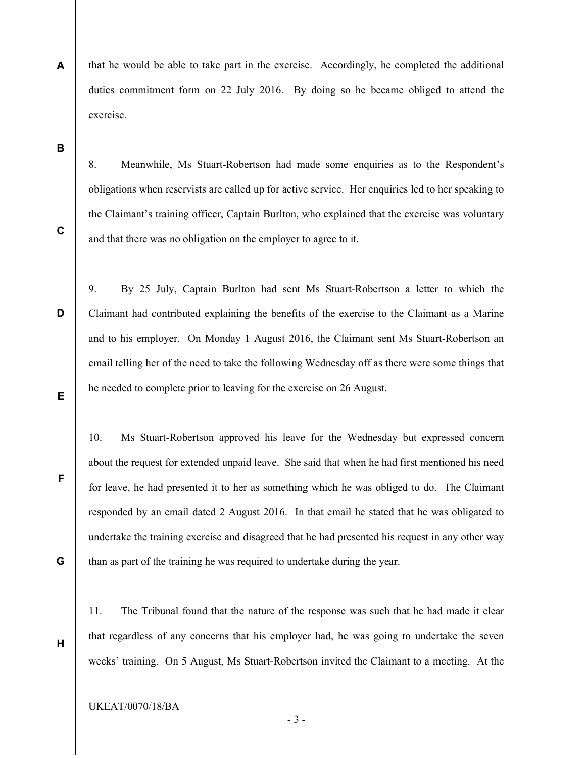- A that he would be able to take part in the exercise. Accordingly, he completed the additional duties commitment form on 22 July 2016. By doing so he became obliged to attend the exercise.
- B

C

D

F

G

H

8. Meanwhile, Ms Stuart-Robertson had made some enquiries as to the Respondent's obligations when reservists are called up for active service. Her enquiries led to her speaking to the Claimant's training officer, Captain Burlton, who explained that the exercise was voluntary and that there was no obligation on the employer to agree to it.

- E 9. By 25 July, Captain Burlton had sent Ms Stuart-Robertson a letter to which the Claimant had contributed explaining the benefits of the exercise to the Claimant as a Marine and to his employer. On Monday 1 August 2016, the Claimant sent Ms Stuart-Robertson an email telling her of the need to take the following Wednesday off as there were some things that he needed to complete prior to leaving for the exercise on 26 August.
	- 10. Ms Stuart-Robertson approved his leave for the Wednesday but expressed concern about the request for extended unpaid leave. She said that when he had first mentioned his need for leave, he had presented it to her as something which he was obliged to do. The Claimant responded by an email dated 2 August 2016. In that email he stated that he was obligated to undertake the training exercise and disagreed that he had presented his request in any other way than as part of the training he was required to undertake during the year.
	- 11. The Tribunal found that the nature of the response was such that he had made it clear that regardless of any concerns that his employer had, he was going to undertake the seven weeks' training. On 5 August, Ms Stuart-Robertson invited the Claimant to a meeting. At the
	- UKEAT/0070/18/BA

- 3 -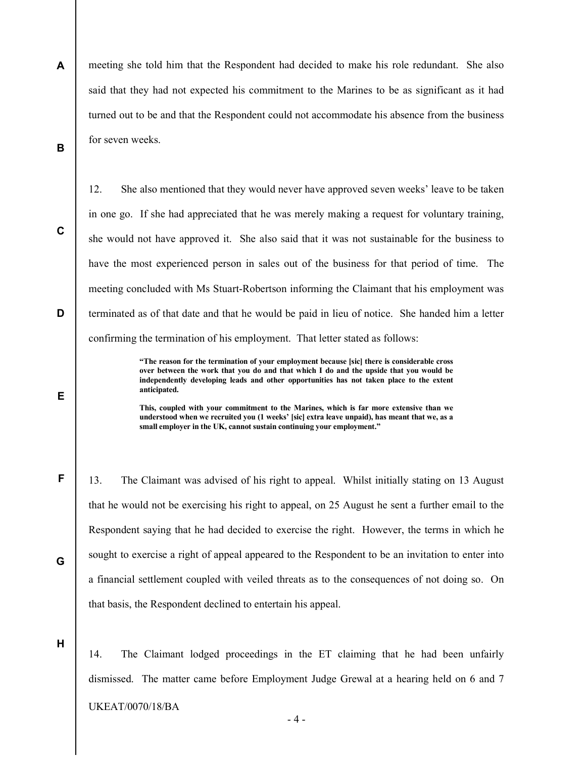A B meeting she told him that the Respondent had decided to make his role redundant. She also said that they had not expected his commitment to the Marines to be as significant as it had turned out to be and that the Respondent could not accommodate his absence from the business for seven weeks.

12. She also mentioned that they would never have approved seven weeks' leave to be taken

in one go. If she had appreciated that he was merely making a request for voluntary training, she would not have approved it. She also said that it was not sustainable for the business to have the most experienced person in sales out of the business for that period of time. The

C

D

E

F

G

meeting concluded with Ms Stuart-Robertson informing the Claimant that his employment was terminated as of that date and that he would be paid in lieu of notice. She handed him a letter confirming the termination of his employment. That letter stated as follows:

> "The reason for the termination of your employment because [sic] there is considerable cross over between the work that you do and that which I do and the upside that you would be independently developing leads and other opportunities has not taken place to the extent anticipated.

> This, coupled with your commitment to the Marines, which is far more extensive than we understood when we recruited you (1 weeks' [sic] extra leave unpaid), has meant that we, as a small employer in the UK, cannot sustain continuing your employment."

13. The Claimant was advised of his right to appeal. Whilst initially stating on 13 August that he would not be exercising his right to appeal, on 25 August he sent a further email to the Respondent saying that he had decided to exercise the right. However, the terms in which he sought to exercise a right of appeal appeared to the Respondent to be an invitation to enter into a financial settlement coupled with veiled threats as to the consequences of not doing so. On that basis, the Respondent declined to entertain his appeal.

H

14. The Claimant lodged proceedings in the ET claiming that he had been unfairly dismissed. The matter came before Employment Judge Grewal at a hearing held on 6 and 7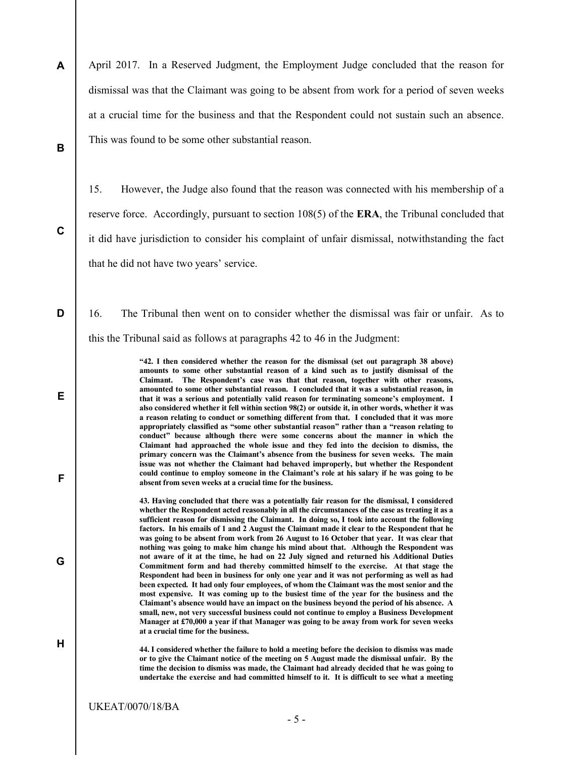A B April 2017. In a Reserved Judgment, the Employment Judge concluded that the reason for dismissal was that the Claimant was going to be absent from work for a period of seven weeks at a crucial time for the business and that the Respondent could not sustain such an absence. This was found to be some other substantial reason.

15. However, the Judge also found that the reason was connected with his membership of a reserve force. Accordingly, pursuant to section 108(5) of the ERA, the Tribunal concluded that it did have jurisdiction to consider his complaint of unfair dismissal, notwithstanding the fact that he did not have two years' service.

16. The Tribunal then went on to consider whether the dismissal was fair or unfair. As to this the Tribunal said as follows at paragraphs 42 to 46 in the Judgment:

> "42. I then considered whether the reason for the dismissal (set out paragraph 38 above) amounts to some other substantial reason of a kind such as to justify dismissal of the Claimant. The Respondent's case was that that reason, together with other reasons, amounted to some other substantial reason. I concluded that it was a substantial reason, in that it was a serious and potentially valid reason for terminating someone's employment. I also considered whether it fell within section 98(2) or outside it, in other words, whether it was a reason relating to conduct or something different from that. I concluded that it was more appropriately classified as "some other substantial reason" rather than a "reason relating to conduct" because although there were some concerns about the manner in which the Claimant had approached the whole issue and they fed into the decision to dismiss, the primary concern was the Claimant's absence from the business for seven weeks. The main issue was not whether the Claimant had behaved improperly, but whether the Respondent could continue to employ someone in the Claimant's role at his salary if he was going to be absent from seven weeks at a crucial time for the business.

43. Having concluded that there was a potentially fair reason for the dismissal, I considered whether the Respondent acted reasonably in all the circumstances of the case as treating it as a sufficient reason for dismissing the Claimant. In doing so, I took into account the following factors. In his emails of 1 and 2 August the Claimant made it clear to the Respondent that he was going to be absent from work from 26 August to 16 October that year. It was clear that nothing was going to make him change his mind about that. Although the Respondent was not aware of it at the time, he had on 22 July signed and returned his Additional Duties Commitment form and had thereby committed himself to the exercise. At that stage the Respondent had been in business for only one year and it was not performing as well as had been expected. It had only four employees, of whom the Claimant was the most senior and the most expensive. It was coming up to the busiest time of the year for the business and the Claimant's absence would have an impact on the business beyond the period of his absence. A small, new, not very successful business could not continue to employ a Business Development Manager at £70,000 a year if that Manager was going to be away from work for seven weeks at a crucial time for the business.

44. I considered whether the failure to hold a meeting before the decision to dismiss was made or to give the Claimant notice of the meeting on 5 August made the dismissal unfair. By the time the decision to dismiss was made, the Claimant had already decided that he was going to undertake the exercise and had committed himself to it. It is difficult to see what a meeting

C

D

E

F

G

H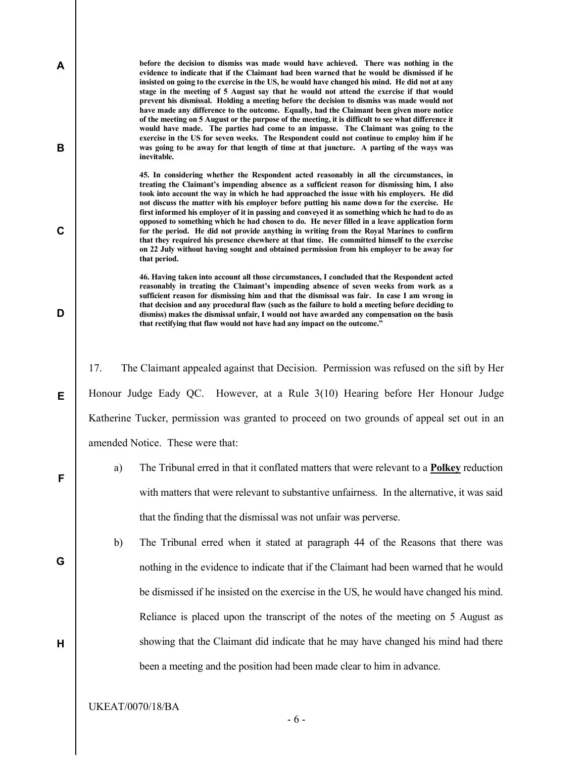before the decision to dismiss was made would have achieved. There was nothing in the evidence to indicate that if the Claimant had been warned that he would be dismissed if he insisted on going to the exercise in the US, he would have changed his mind. He did not at any stage in the meeting of 5 August say that he would not attend the exercise if that would prevent his dismissal. Holding a meeting before the decision to dismiss was made would not have made any difference to the outcome. Equally, had the Claimant been given more notice of the meeting on 5 August or the purpose of the meeting, it is difficult to see what difference it would have made. The parties had come to an impasse. The Claimant was going to the exercise in the US for seven weeks. The Respondent could not continue to employ him if he was going to be away for that length of time at that juncture. A parting of the ways was inevitable.

45. In considering whether the Respondent acted reasonably in all the circumstances, in treating the Claimant's impending absence as a sufficient reason for dismissing him, I also took into account the way in which he had approached the issue with his employers. He did not discuss the matter with his employer before putting his name down for the exercise. He first informed his employer of it in passing and conveyed it as something which he had to do as opposed to something which he had chosen to do. He never filled in a leave application form for the period. He did not provide anything in writing from the Royal Marines to confirm that they required his presence elsewhere at that time. He committed himself to the exercise on 22 July without having sought and obtained permission from his employer to be away for that period.

46. Having taken into account all those circumstances, I concluded that the Respondent acted reasonably in treating the Claimant's impending absence of seven weeks from work as a sufficient reason for dismissing him and that the dismissal was fair. In case I am wrong in that decision and any procedural flaw (such as the failure to hold a meeting before deciding to dismiss) makes the dismissal unfair, I would not have awarded any compensation on the basis that rectifying that flaw would not have had any impact on the outcome."

17. The Claimant appealed against that Decision. Permission was refused on the sift by Her Honour Judge Eady QC. However, at a Rule 3(10) Hearing before Her Honour Judge Katherine Tucker, permission was granted to proceed on two grounds of appeal set out in an amended Notice. These were that:

- a) The Tribunal erred in that it conflated matters that were relevant to a Polkey reduction with matters that were relevant to substantive unfairness. In the alternative, it was said that the finding that the dismissal was not unfair was perverse.
- b) The Tribunal erred when it stated at paragraph 44 of the Reasons that there was nothing in the evidence to indicate that if the Claimant had been warned that he would be dismissed if he insisted on the exercise in the US, he would have changed his mind. Reliance is placed upon the transcript of the notes of the meeting on 5 August as showing that the Claimant did indicate that he may have changed his mind had there been a meeting and the position had been made clear to him in advance.

A

B

C

D

E

F

G

H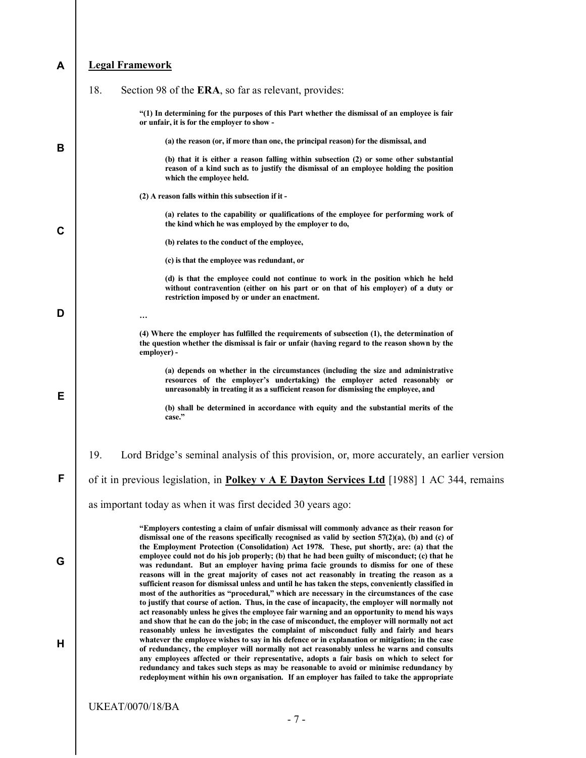#### A Legal Framework

|   | 18.<br>Section 98 of the ERA, so far as relevant, provides:                                                                                                                                                                                                                                                                                                                                                                                                                                                                                                                                                                                                                                                                                                                                    |
|---|------------------------------------------------------------------------------------------------------------------------------------------------------------------------------------------------------------------------------------------------------------------------------------------------------------------------------------------------------------------------------------------------------------------------------------------------------------------------------------------------------------------------------------------------------------------------------------------------------------------------------------------------------------------------------------------------------------------------------------------------------------------------------------------------|
|   | "(1) In determining for the purposes of this Part whether the dismissal of an employee is fair<br>or unfair, it is for the employer to show -                                                                                                                                                                                                                                                                                                                                                                                                                                                                                                                                                                                                                                                  |
| B | (a) the reason (or, if more than one, the principal reason) for the dismissal, and                                                                                                                                                                                                                                                                                                                                                                                                                                                                                                                                                                                                                                                                                                             |
|   | (b) that it is either a reason falling within subsection (2) or some other substantial<br>reason of a kind such as to justify the dismissal of an employee holding the position<br>which the employee held.                                                                                                                                                                                                                                                                                                                                                                                                                                                                                                                                                                                    |
|   | (2) A reason falls within this subsection if it -                                                                                                                                                                                                                                                                                                                                                                                                                                                                                                                                                                                                                                                                                                                                              |
| C | (a) relates to the capability or qualifications of the employee for performing work of<br>the kind which he was employed by the employer to do,                                                                                                                                                                                                                                                                                                                                                                                                                                                                                                                                                                                                                                                |
|   | (b) relates to the conduct of the employee,                                                                                                                                                                                                                                                                                                                                                                                                                                                                                                                                                                                                                                                                                                                                                    |
|   | (c) is that the employee was redundant, or                                                                                                                                                                                                                                                                                                                                                                                                                                                                                                                                                                                                                                                                                                                                                     |
|   | (d) is that the employee could not continue to work in the position which he held<br>without contravention (either on his part or on that of his employer) of a duty or<br>restriction imposed by or under an enactment.                                                                                                                                                                                                                                                                                                                                                                                                                                                                                                                                                                       |
| D |                                                                                                                                                                                                                                                                                                                                                                                                                                                                                                                                                                                                                                                                                                                                                                                                |
|   | (4) Where the employer has fulfilled the requirements of subsection (1), the determination of<br>the question whether the dismissal is fair or unfair (having regard to the reason shown by the<br>employer) -                                                                                                                                                                                                                                                                                                                                                                                                                                                                                                                                                                                 |
| Е | (a) depends on whether in the circumstances (including the size and administrative<br>resources of the employer's undertaking) the employer acted reasonably or<br>unreasonably in treating it as a sufficient reason for dismissing the employee, and                                                                                                                                                                                                                                                                                                                                                                                                                                                                                                                                         |
|   | (b) shall be determined in accordance with equity and the substantial merits of the<br>case."                                                                                                                                                                                                                                                                                                                                                                                                                                                                                                                                                                                                                                                                                                  |
|   | 19.<br>Lord Bridge's seminal analysis of this provision, or, more accurately, an earlier version                                                                                                                                                                                                                                                                                                                                                                                                                                                                                                                                                                                                                                                                                               |
| F | of it in previous legislation, in <b>Polkey v A E Dayton Services Ltd</b> [1988] 1 AC 344, remains                                                                                                                                                                                                                                                                                                                                                                                                                                                                                                                                                                                                                                                                                             |
|   | as important today as when it was first decided 30 years ago:                                                                                                                                                                                                                                                                                                                                                                                                                                                                                                                                                                                                                                                                                                                                  |
| G | "Employers contesting a claim of unfair dismissal will commonly advance as their reason for<br>dismissal one of the reasons specifically recognised as valid by section $57(2)(a)$ , (b) and (c) of<br>the Employment Protection (Consolidation) Act 1978. These, put shortly, are: (a) that the<br>employee could not do his job properly; (b) that he had been guilty of misconduct; (c) that he<br>was redundant. But an employer having prima facie grounds to dismiss for one of these<br>reasons will in the great majority of cases not act reasonably in treating the reason as a<br>sufficient reason for dismissal unless and until he has taken the steps, conveniently classified in                                                                                               |
| н | most of the authorities as "procedural," which are necessary in the circumstances of the case<br>to justify that course of action. Thus, in the case of incapacity, the employer will normally not<br>act reasonably unless he gives the employee fair warning and an opportunity to mend his ways<br>and show that he can do the job; in the case of misconduct, the employer will normally not act<br>reasonably unless he investigates the complaint of misconduct fully and fairly and hears<br>whatever the employee wishes to say in his defence or in explanation or mitigation; in the case<br>of redundancy, the employer will normally not act reasonably unless he warns and consults<br>any employees affected or their representative, adopts a fair basis on which to select for |
|   | redundancy and takes such steps as may be reasonable to avoid or minimise redundancy by<br>redeployment within his own organisation. If an employer has failed to take the appropriate<br><b>UKEAT/0070/18/BA</b>                                                                                                                                                                                                                                                                                                                                                                                                                                                                                                                                                                              |
|   |                                                                                                                                                                                                                                                                                                                                                                                                                                                                                                                                                                                                                                                                                                                                                                                                |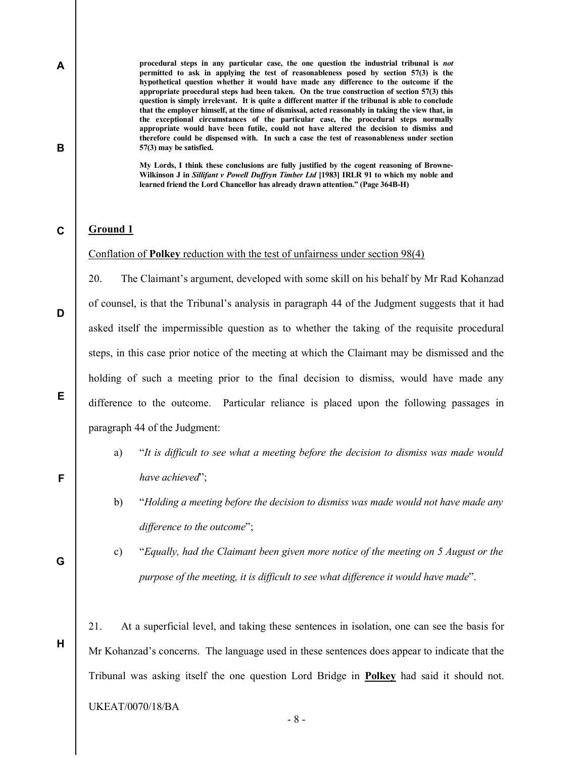procedural steps in any particular case, the one question the industrial tribunal is not permitted to ask in applying the test of reasonableness posed by section 57(3) is the hypothetical question whether it would have made any difference to the outcome if the appropriate procedural steps had been taken. On the true construction of section 57(3) this question is simply irrelevant. It is quite a different matter if the tribunal is able to conclude that the employer himself, at the time of dismissal, acted reasonably in taking the view that, in the exceptional circumstances of the particular case, the procedural steps normally appropriate would have been futile, could not have altered the decision to dismiss and therefore could be dispensed with. In such a case the test of reasonableness under section 57(3) may be satisfied.

My Lords, I think these conclusions are fully justified by the cogent reasoning of Browne-Wilkinson J in Sillifant v Powell Duffryn Timber Ltd [1983] IRLR 91 to which my noble and learned friend the Lord Chancellor has already drawn attention." (Page 364B-H)

#### C Ground 1

A

B

D

E

F

Conflation of Polkey reduction with the test of unfairness under section 98(4)

20. The Claimant's argument, developed with some skill on his behalf by Mr Rad Kohanzad of counsel, is that the Tribunal's analysis in paragraph 44 of the Judgment suggests that it had asked itself the impermissible question as to whether the taking of the requisite procedural steps, in this case prior notice of the meeting at which the Claimant may be dismissed and the holding of such a meeting prior to the final decision to dismiss, would have made any difference to the outcome. Particular reliance is placed upon the following passages in paragraph 44 of the Judgment:

- a) "It is difficult to see what a meeting before the decision to dismiss was made would have achieved";
- b) "Holding a meeting before the decision to dismiss was made would not have made any difference to the outcome";
- G

H

c) "Equally, had the Claimant been given more notice of the meeting on 5 August or the purpose of the meeting, it is difficult to see what difference it would have made".

21. At a superficial level, and taking these sentences in isolation, one can see the basis for Mr Kohanzad's concerns. The language used in these sentences does appear to indicate that the Tribunal was asking itself the one question Lord Bridge in Polkey had said it should not.

#### UKEAT/0070/18/BA

- 8 -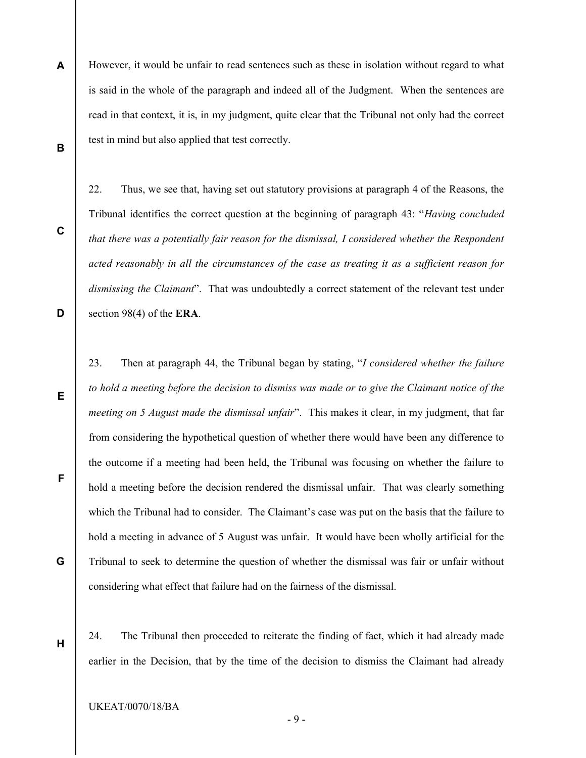A B However, it would be unfair to read sentences such as these in isolation without regard to what is said in the whole of the paragraph and indeed all of the Judgment. When the sentences are read in that context, it is, in my judgment, quite clear that the Tribunal not only had the correct test in mind but also applied that test correctly.

22. Thus, we see that, having set out statutory provisions at paragraph 4 of the Reasons, the Tribunal identifies the correct question at the beginning of paragraph 43: "Having concluded that there was a potentially fair reason for the dismissal, I considered whether the Respondent acted reasonably in all the circumstances of the case as treating it as a sufficient reason for dismissing the Claimant". That was undoubtedly a correct statement of the relevant test under section 98(4) of the ERA.

- 23. Then at paragraph 44, the Tribunal began by stating, "I considered whether the failure to hold a meeting before the decision to dismiss was made or to give the Claimant notice of the meeting on 5 August made the dismissal unfair". This makes it clear, in my judgment, that far from considering the hypothetical question of whether there would have been any difference to the outcome if a meeting had been held, the Tribunal was focusing on whether the failure to hold a meeting before the decision rendered the dismissal unfair. That was clearly something which the Tribunal had to consider. The Claimant's case was put on the basis that the failure to hold a meeting in advance of 5 August was unfair. It would have been wholly artificial for the Tribunal to seek to determine the question of whether the dismissal was fair or unfair without considering what effect that failure had on the fairness of the dismissal.
- 24. The Tribunal then proceeded to reiterate the finding of fact, which it had already made earlier in the Decision, that by the time of the decision to dismiss the Claimant had already

C

D

E

G

F

H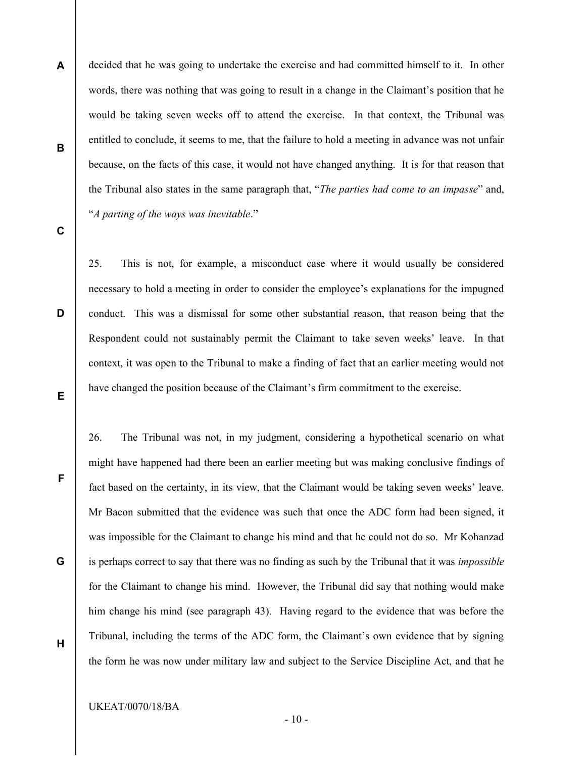decided that he was going to undertake the exercise and had committed himself to it. In other words, there was nothing that was going to result in a change in the Claimant's position that he would be taking seven weeks off to attend the exercise. In that context, the Tribunal was entitled to conclude, it seems to me, that the failure to hold a meeting in advance was not unfair because, on the facts of this case, it would not have changed anything. It is for that reason that the Tribunal also states in the same paragraph that, "The parties had come to an impasse" and, "A parting of the ways was inevitable."

C

D

E

F

G

H

A

B

25. This is not, for example, a misconduct case where it would usually be considered necessary to hold a meeting in order to consider the employee's explanations for the impugned conduct. This was a dismissal for some other substantial reason, that reason being that the Respondent could not sustainably permit the Claimant to take seven weeks' leave. In that context, it was open to the Tribunal to make a finding of fact that an earlier meeting would not have changed the position because of the Claimant's firm commitment to the exercise.

26. The Tribunal was not, in my judgment, considering a hypothetical scenario on what might have happened had there been an earlier meeting but was making conclusive findings of fact based on the certainty, in its view, that the Claimant would be taking seven weeks' leave. Mr Bacon submitted that the evidence was such that once the ADC form had been signed, it was impossible for the Claimant to change his mind and that he could not do so. Mr Kohanzad is perhaps correct to say that there was no finding as such by the Tribunal that it was *impossible* for the Claimant to change his mind. However, the Tribunal did say that nothing would make him change his mind (see paragraph 43). Having regard to the evidence that was before the Tribunal, including the terms of the ADC form, the Claimant's own evidence that by signing the form he was now under military law and subject to the Service Discipline Act, and that he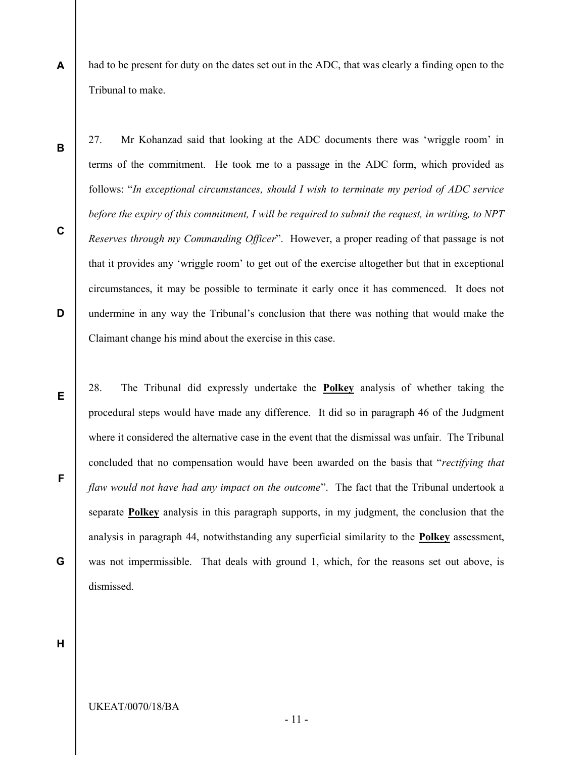A had to be present for duty on the dates set out in the ADC, that was clearly a finding open to the Tribunal to make.

27. Mr Kohanzad said that looking at the ADC documents there was 'wriggle room' in terms of the commitment. He took me to a passage in the ADC form, which provided as follows: "In exceptional circumstances, should I wish to terminate my period of ADC service before the expiry of this commitment, I will be required to submit the request, in writing, to NPT Reserves through my Commanding Officer". However, a proper reading of that passage is not that it provides any 'wriggle room' to get out of the exercise altogether but that in exceptional circumstances, it may be possible to terminate it early once it has commenced. It does not undermine in any way the Tribunal's conclusion that there was nothing that would make the Claimant change his mind about the exercise in this case.

28. The Tribunal did expressly undertake the Polkey analysis of whether taking the procedural steps would have made any difference. It did so in paragraph 46 of the Judgment where it considered the alternative case in the event that the dismissal was unfair. The Tribunal concluded that no compensation would have been awarded on the basis that "rectifying that flaw would not have had any impact on the outcome". The fact that the Tribunal undertook a separate Polkey analysis in this paragraph supports, in my judgment, the conclusion that the analysis in paragraph 44, notwithstanding any superficial similarity to the **Polkey** assessment, was not impermissible. That deals with ground 1, which, for the reasons set out above, is dismissed.

H

B

C

D

E

F

G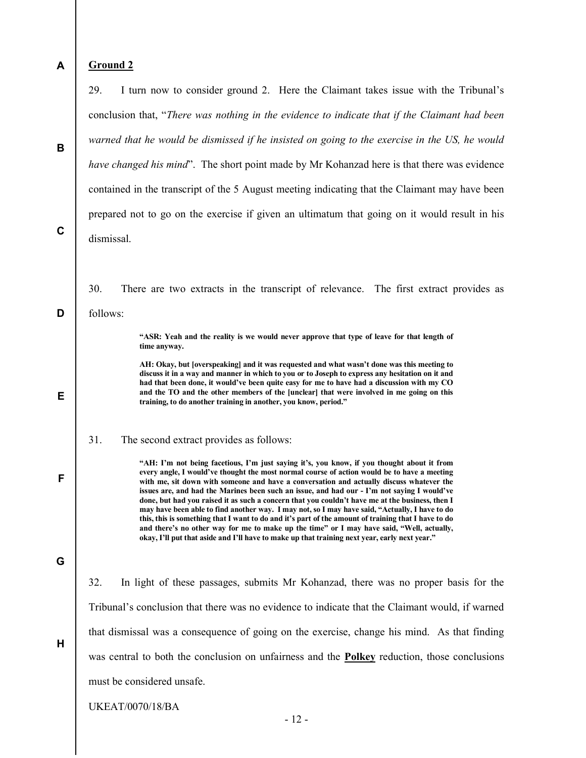| A           | <b>Ground 2</b>                                                                                                                                                                                                                                                                                                                                                                                                                                                                                                                                                                                                                                                                                                                                                                                                                                                                                |
|-------------|------------------------------------------------------------------------------------------------------------------------------------------------------------------------------------------------------------------------------------------------------------------------------------------------------------------------------------------------------------------------------------------------------------------------------------------------------------------------------------------------------------------------------------------------------------------------------------------------------------------------------------------------------------------------------------------------------------------------------------------------------------------------------------------------------------------------------------------------------------------------------------------------|
|             | 29.<br>I turn now to consider ground 2. Here the Claimant takes issue with the Tribunal's                                                                                                                                                                                                                                                                                                                                                                                                                                                                                                                                                                                                                                                                                                                                                                                                      |
|             | conclusion that, "There was nothing in the evidence to indicate that if the Claimant had been                                                                                                                                                                                                                                                                                                                                                                                                                                                                                                                                                                                                                                                                                                                                                                                                  |
| B           | warned that he would be dismissed if he insisted on going to the exercise in the US, he would                                                                                                                                                                                                                                                                                                                                                                                                                                                                                                                                                                                                                                                                                                                                                                                                  |
|             | have changed his mind". The short point made by Mr Kohanzad here is that there was evidence                                                                                                                                                                                                                                                                                                                                                                                                                                                                                                                                                                                                                                                                                                                                                                                                    |
|             | contained in the transcript of the 5 August meeting indicating that the Claimant may have been                                                                                                                                                                                                                                                                                                                                                                                                                                                                                                                                                                                                                                                                                                                                                                                                 |
|             | prepared not to go on the exercise if given an ultimatum that going on it would result in his                                                                                                                                                                                                                                                                                                                                                                                                                                                                                                                                                                                                                                                                                                                                                                                                  |
| $\mathbf c$ | dismissal.                                                                                                                                                                                                                                                                                                                                                                                                                                                                                                                                                                                                                                                                                                                                                                                                                                                                                     |
|             |                                                                                                                                                                                                                                                                                                                                                                                                                                                                                                                                                                                                                                                                                                                                                                                                                                                                                                |
|             | 30.<br>There are two extracts in the transcript of relevance. The first extract provides as                                                                                                                                                                                                                                                                                                                                                                                                                                                                                                                                                                                                                                                                                                                                                                                                    |
| D           | follows:                                                                                                                                                                                                                                                                                                                                                                                                                                                                                                                                                                                                                                                                                                                                                                                                                                                                                       |
|             | "ASR: Yeah and the reality is we would never approve that type of leave for that length of<br>time anyway.                                                                                                                                                                                                                                                                                                                                                                                                                                                                                                                                                                                                                                                                                                                                                                                     |
|             | AH: Okay, but [overspeaking] and it was requested and what wasn't done was this meeting to<br>discuss it in a way and manner in which to you or to Joseph to express any hesitation on it and                                                                                                                                                                                                                                                                                                                                                                                                                                                                                                                                                                                                                                                                                                  |
| Е           | had that been done, it would've been quite easy for me to have had a discussion with my CO<br>and the TO and the other members of the [unclear] that were involved in me going on this<br>training, to do another training in another, you know, period."                                                                                                                                                                                                                                                                                                                                                                                                                                                                                                                                                                                                                                      |
|             | 31.<br>The second extract provides as follows:                                                                                                                                                                                                                                                                                                                                                                                                                                                                                                                                                                                                                                                                                                                                                                                                                                                 |
| F           | "AH: I'm not being facetious, I'm just saying it's, you know, if you thought about it from<br>every angle, I would've thought the most normal course of action would be to have a meeting<br>with me, sit down with someone and have a conversation and actually discuss whatever the<br>issues are, and had the Marines been such an issue, and had our - I'm not saying I would've<br>done, but had you raised it as such a concern that you couldn't have me at the business, then I<br>may have been able to find another way. I may not, so I may have said, "Actually, I have to do<br>this, this is something that I want to do and it's part of the amount of training that I have to do<br>and there's no other way for me to make up the time" or I may have said, "Well, actually,<br>okay, I'll put that aside and I'll have to make up that training next year, early next year." |
| G           |                                                                                                                                                                                                                                                                                                                                                                                                                                                                                                                                                                                                                                                                                                                                                                                                                                                                                                |
|             | 32.<br>In light of these passages, submits Mr Kohanzad, there was no proper basis for the                                                                                                                                                                                                                                                                                                                                                                                                                                                                                                                                                                                                                                                                                                                                                                                                      |
|             | Tribunal's conclusion that there was no evidence to indicate that the Claimant would, if warned                                                                                                                                                                                                                                                                                                                                                                                                                                                                                                                                                                                                                                                                                                                                                                                                |
| H           | that dismissal was a consequence of going on the exercise, change his mind. As that finding                                                                                                                                                                                                                                                                                                                                                                                                                                                                                                                                                                                                                                                                                                                                                                                                    |
|             | was central to both the conclusion on unfairness and the <b>Polkey</b> reduction, those conclusions                                                                                                                                                                                                                                                                                                                                                                                                                                                                                                                                                                                                                                                                                                                                                                                            |
|             | must be considered unsafe.                                                                                                                                                                                                                                                                                                                                                                                                                                                                                                                                                                                                                                                                                                                                                                                                                                                                     |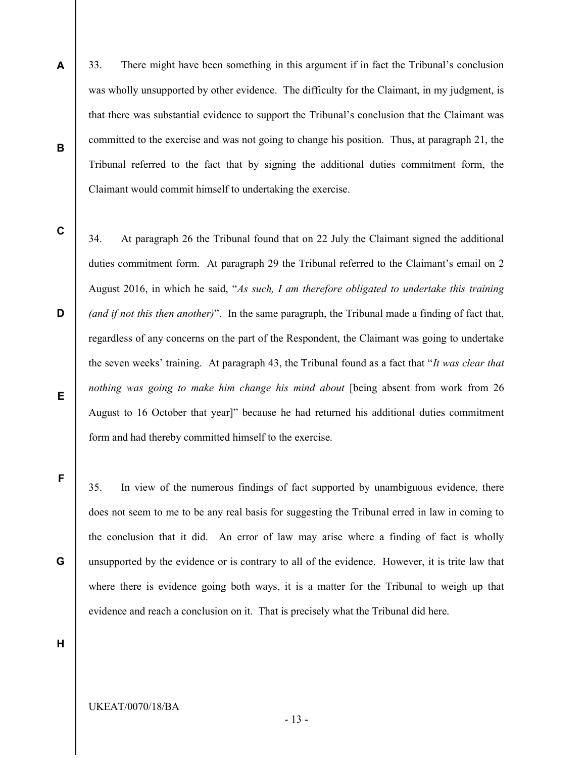- A B 33. There might have been something in this argument if in fact the Tribunal's conclusion was wholly unsupported by other evidence. The difficulty for the Claimant, in my judgment, is that there was substantial evidence to support the Tribunal's conclusion that the Claimant was committed to the exercise and was not going to change his position. Thus, at paragraph 21, the Tribunal referred to the fact that by signing the additional duties commitment form, the Claimant would commit himself to undertaking the exercise.
- C

D E 34. At paragraph 26 the Tribunal found that on 22 July the Claimant signed the additional duties commitment form. At paragraph 29 the Tribunal referred to the Claimant's email on 2 August 2016, in which he said, "As such, I am therefore obligated to undertake this training (and if not this then another)". In the same paragraph, the Tribunal made a finding of fact that, regardless of any concerns on the part of the Respondent, the Claimant was going to undertake the seven weeks' training. At paragraph 43, the Tribunal found as a fact that "It was clear that nothing was going to make him change his mind about [being absent from work from 26 August to 16 October that year]" because he had returned his additional duties commitment form and had thereby committed himself to the exercise.

35. In view of the numerous findings of fact supported by unambiguous evidence, there does not seem to me to be any real basis for suggesting the Tribunal erred in law in coming to the conclusion that it did. An error of law may arise where a finding of fact is wholly unsupported by the evidence or is contrary to all of the evidence. However, it is trite law that where there is evidence going both ways, it is a matter for the Tribunal to weigh up that evidence and reach a conclusion on it. That is precisely what the Tribunal did here.

H

F

G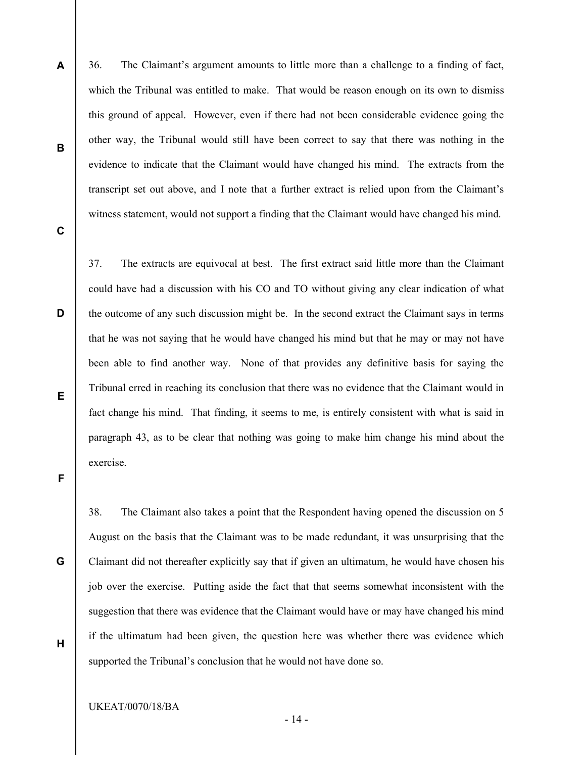- 36. The Claimant's argument amounts to little more than a challenge to a finding of fact, which the Tribunal was entitled to make. That would be reason enough on its own to dismiss this ground of appeal. However, even if there had not been considerable evidence going the other way, the Tribunal would still have been correct to say that there was nothing in the evidence to indicate that the Claimant would have changed his mind. The extracts from the transcript set out above, and I note that a further extract is relied upon from the Claimant's witness statement, would not support a finding that the Claimant would have changed his mind.
- C

D

E

A

B

37. The extracts are equivocal at best. The first extract said little more than the Claimant could have had a discussion with his CO and TO without giving any clear indication of what the outcome of any such discussion might be. In the second extract the Claimant says in terms that he was not saying that he would have changed his mind but that he may or may not have been able to find another way. None of that provides any definitive basis for saying the Tribunal erred in reaching its conclusion that there was no evidence that the Claimant would in fact change his mind. That finding, it seems to me, is entirely consistent with what is said in paragraph 43, as to be clear that nothing was going to make him change his mind about the exercise.

F

G

H

38. The Claimant also takes a point that the Respondent having opened the discussion on 5 August on the basis that the Claimant was to be made redundant, it was unsurprising that the Claimant did not thereafter explicitly say that if given an ultimatum, he would have chosen his job over the exercise. Putting aside the fact that that seems somewhat inconsistent with the suggestion that there was evidence that the Claimant would have or may have changed his mind if the ultimatum had been given, the question here was whether there was evidence which supported the Tribunal's conclusion that he would not have done so.